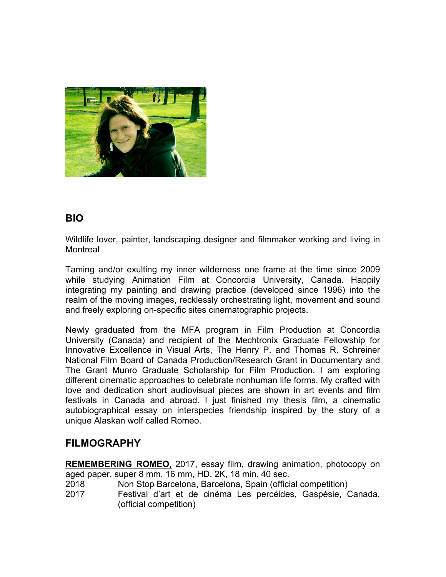

#### **BIO**

Wildlife lover, painter, landscaping designer and filmmaker working and living in Montreal

Taming and/or exulting my inner wilderness one frame at the time since 2009 while studying Animation Film at Concordia University, Canada. Happily integrating my painting and drawing practice (developed since 1996) into the realm of the moving images, recklessly orchestrating light, movement and sound and freely exploring on-specific sites cinematographic projects.

Newly graduated from the MFA program in Film Production at Concordia University (Canada) and recipient of the Mechtronix Graduate Fellowship for Innovative Excellence in Visual Arts, The Henry P. and Thomas R. Schreiner National Film Board of Canada Production/Research Grant in Documentary and The Grant Munro Graduate Scholarship for Film Production. I am exploring different cinematic approaches to celebrate nonhuman life forms. My crafted with love and dedication short audiovisual pieces are shown in art events and film festivals in Canada and abroad. I just finished my thesis film, a cinematic autobiographical essay on interspecies friendship inspired by the story of a unique Alaskan wolf called Romeo.

#### **FILMOGRAPHY**

**REMEMBERING ROMEO**, 2017, essay film, drawing animation, photocopy on aged paper, super 8 mm, 16 mm, HD, 2K, 18 min. 40 sec.

- 2018 Non Stop Barcelona, Barcelona, Spain (official competition)
- 2017 Festival d'art et de cinéma Les percéides, Gaspésie, Canada, (official competition)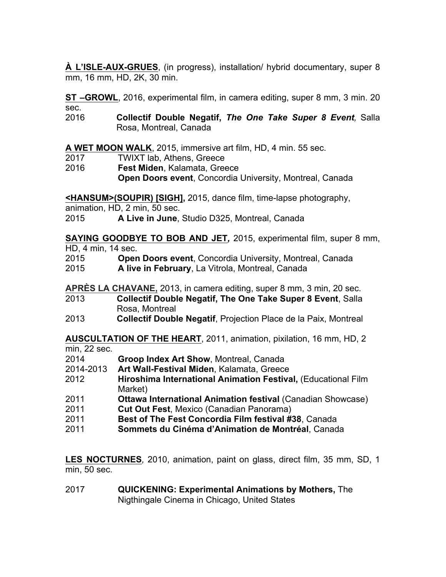**À L'ISLE-AUX-GRUES**, (in progress), installation/ hybrid documentary, super 8 mm, 16 mm, HD, 2K, 30 min.

**ST –GROWL**, 2016, experimental film, in camera editing, super 8 mm, 3 min. 20 sec.

2016 **Collectif Double Negatif,** *The One Take Super 8 Event,* Salla Rosa, Montreal, Canada

**A WET MOON WALK**, 2015, immersive art film, HD, 4 min. 55 sec.

- 2017 TWIXT lab, Athens, Greece
- 2016 **Fest Miden**, Kalamata, Greece **Open Doors event**, Concordia University, Montreal, Canada

**<HANSUM>(SOUPIR) [SIGH],** 2015, dance film, time-lapse photography,

animation, HD, 2 min, 50 sec.

2015 **A Live in June**, Studio D325, Montreal, Canada

**SAYING GOODBYE TO BOB AND JET***,* 2015, experimental film, super 8 mm, HD, 4 min, 14 sec.

2015 **Open Doors event**, Concordia University, Montreal, Canada

2015 **A live in February**, La Vitrola, Montreal, Canada

**APRÈS LA CHAVANE,** 2013, in camera editing, super 8 mm, 3 min, 20 sec.

- 2013 **Collectif Double Negatif, The One Take Super 8 Event**, Salla Rosa, Montreal
- 2013 **Collectif Double Negatif**, Projection Place de la Paix, Montreal

**AUSCULTATION OF THE HEART**, 2011, animation, pixilation, 16 mm, HD, 2 min, 22 sec.

- 2014 **Groop Index Art Show**, Montreal, Canada
- 2014-2013 **Art Wall-Festival Miden**, Kalamata, Greece
- 2012 **Hiroshima International Animation Festival,** (Educational Film Market)
- 2011 **Ottawa International Animation festival** (Canadian Showcase)
- 2011 **Cut Out Fest**, Mexico (Canadian Panorama)
- 2011 **Best of The Fest Concordia Film festival #38**, Canada
- 2011 **Sommets du Cinéma d'Animation de Montréal**, Canada

**LES NOCTURNES***,* 2010, animation, paint on glass, direct film, 35 mm, SD, 1 min, 50 sec.

2017 **QUICKENING: Experimental Animations by Mothers,** The Nigthingale Cinema in Chicago, United States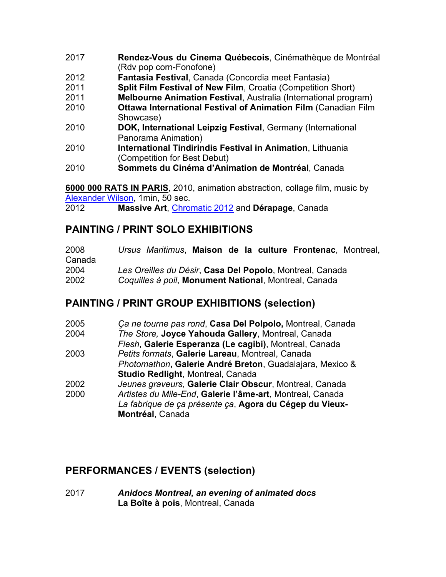- 2017 **Rendez-Vous du Cinema Québecois**, Cinémathèque de Montréal (Rdv pop corn-Fonofone)
- 2012 **Fantasia Festival**, Canada (Concordia meet Fantasia)
- 2011 **Split Film Festival of New Film**, Croatia (Competition Short)
- 2011 **Melbourne Animation Festival**, Australia (International program)
- 2010 **Ottawa International Festival of Animation Film** (Canadian Film Showcase)
- 2010 **DOK, International Leipzig Festival**, Germany (International Panorama Animation)
- 2010 **International Tindirindis Festival in Animation**, Lithuania (Competition for Best Debut)
- 2010 **Sommets du Cinéma d'Animation de Montréal**, Canada

**6000 000 RATS IN PARIS**, 2010, animation abstraction, collage film, music by Alexander Wilson, 1min, 50 sec.

2012 **Massive Art**, Chromatic 2012 and **Dérapage**, Canada

### **PAINTING / PRINT SOLO EXHIBITIONS**

| 2008   |  |  |  | Ursus Maritimus, Maison de la culture Frontenac, Montreal, |  |
|--------|--|--|--|------------------------------------------------------------|--|
| Canada |  |  |  |                                                            |  |
| 2004   |  |  |  | Les Oreilles du Désir, Casa Del Popolo, Montreal, Canada   |  |
| 2002   |  |  |  | Coquilles à poil, Monument National, Montreal, Canada      |  |

#### **PAINTING / PRINT GROUP EXHIBITIONS (selection)**

| 2005 | Ça ne tourne pas rond, Casa Del Polpolo, Montreal, Canada |
|------|-----------------------------------------------------------|
| 2004 | The Store, Joyce Yahouda Gallery, Montreal, Canada        |
|      | Flesh, Galerie Esperanza (Le cagibi), Montreal, Canada    |
| 2003 | Petits formats, Galerie Lareau, Montreal, Canada          |
|      | Photomathon, Galerie André Breton, Guadalajara, Mexico &  |
|      | Studio Redlight, Montreal, Canada                         |
| 2002 | Jeunes graveurs, Galerie Clair Obscur, Montreal, Canada   |
| 2000 | Artistes du Mile-End, Galerie l'âme-art, Montreal, Canada |
|      | La fabrique de ça présente ça, Agora du Cégep du Vieux-   |
|      | Montréal, Canada                                          |

## **PERFORMANCES / EVENTS (selection)**

2017 *Anidocs Montreal, an evening of animated docs*  **La Boîte à pois**, Montreal, Canada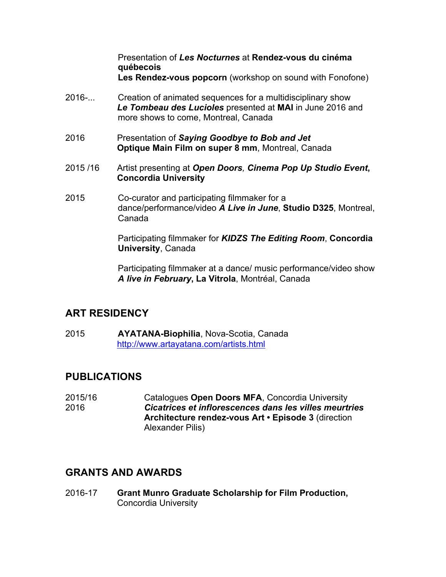Presentation of *Les Nocturnes* at **Rendez-vous du cinéma québecois Les Rendez-vous popcorn** (workshop on sound with Fonofone)

- 2016-... Creation of animated sequences for a multidisciplinary show *Le Tombeau des Lucioles* presented at **MAI** in June 2016 and more shows to come, Montreal, Canada
- 2016 Presentation of *Saying Goodbye to Bob and Jet* **Optique Main Film on super 8 mm**, Montreal, Canada
- 2015 /16 Artist presenting at *Open Doors, Cinema Pop Up Studio Event***, Concordia University**
- 2015 Co-curator and participating filmmaker for a dance/performance/video *A Live in June*, **Studio D325**, Montreal, Canada

Participating filmmaker for *KIDZS The Editing Room*, **Concordia University**, Canada

Participating filmmaker at a dance/ music performance/video show *A live in February***, La Vitrola**, Montréal, Canada

#### **ART RESIDENCY**

2015 **AYATANA-Biophilia**, Nova-Scotia, Canada http://www.artayatana.com/artists.html

## **PUBLICATIONS**

2015/16 Catalogues **Open Doors MFA**, Concordia University 2016 *Cicatrices et inflorescences dans les villes meurtries* **Architecture rendez-vous Art • Episode 3** (direction Alexander Pilis)

## **GRANTS AND AWARDS**

2016-17 **Grant Munro Graduate Scholarship for Film Production,**  Concordia University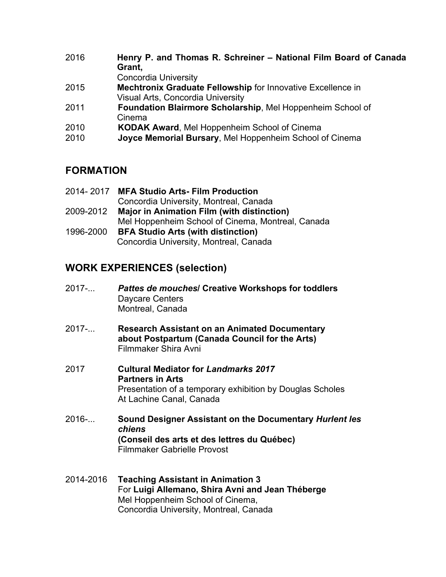| Henry P. and Thomas R. Schreiner - National Film Board of Canada<br>Grant,<br><b>Concordia University</b> |
|-----------------------------------------------------------------------------------------------------------|
| <b>Mechtronix Graduate Fellowship for Innovative Excellence in</b>                                        |
| <b>Visual Arts, Concordia University</b>                                                                  |
| Foundation Blairmore Scholarship, Mel Hoppenheim School of<br>Cinema                                      |
| <b>KODAK Award, Mel Hoppenheim School of Cinema</b>                                                       |
| Joyce Memorial Bursary, Mel Hoppenheim School of Cinema                                                   |
|                                                                                                           |

## **FORMATION**

| 2014-2017 | <b>MFA Studio Arts-Film Production</b>            |
|-----------|---------------------------------------------------|
|           | Concordia University, Montreal, Canada            |
| 2009-2012 | <b>Major in Animation Film (with distinction)</b> |
|           | Mel Hoppenheim School of Cinema, Montreal, Canada |
| 1996-2000 | <b>BFA Studio Arts (with distinction)</b>         |
|           | Concordia University, Montreal, Canada            |

# **WORK EXPERIENCES (selection)**

- 2017-... *Pattes de mouches***/ Creative Workshops for toddlers** Daycare Centers Montreal, Canada
- 2017-... **Research Assistant on an Animated Documentary about Postpartum (Canada Council for the Arts)** Filmmaker Shira Avni
- 2017 **Cultural Mediator for** *Landmarks 2017* **Partners in Arts** Presentation of a temporary exhibition by Douglas Scholes At Lachine Canal, Canada
- 2016-... **Sound Designer Assistant on the Documentary** *Hurlent les chiens*  **(Conseil des arts et des lettres du Québec)** Filmmaker Gabrielle Provost
- 2014-2016 **Teaching Assistant in Animation 3** For **Luigi Allemano, Shira Avni and Jean Théberge** Mel Hoppenheim School of Cinema, Concordia University, Montreal, Canada